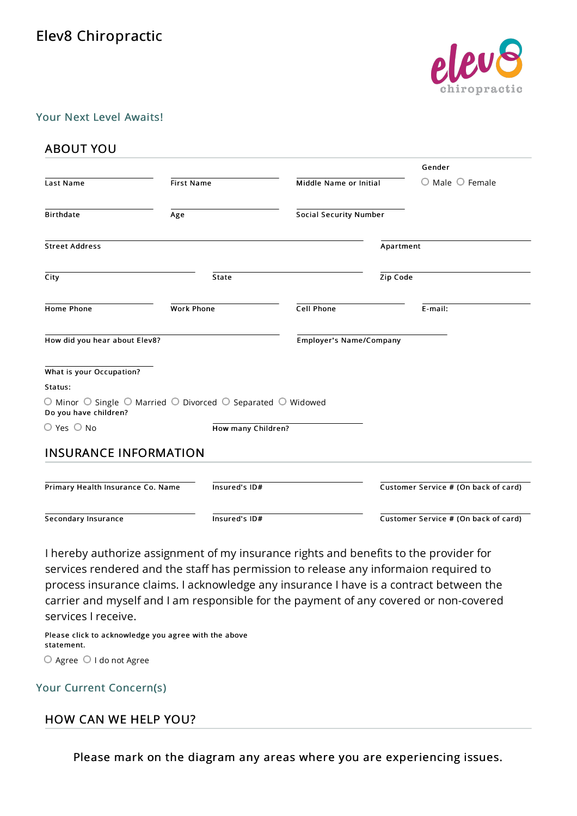# Elev8 Chiropractic



#### Your Next Level Awaits!

## ABOUT YOU

|                                                                                                                          |                   |                    |                               |                                | Gender                               |  |
|--------------------------------------------------------------------------------------------------------------------------|-------------------|--------------------|-------------------------------|--------------------------------|--------------------------------------|--|
| Last Name                                                                                                                | <b>First Name</b> |                    | Middle Name or Initial        |                                | $\circ$ Male $\circ$ Female          |  |
| <b>Birthdate</b>                                                                                                         | Age               |                    | <b>Social Security Number</b> |                                |                                      |  |
| <b>Street Address</b>                                                                                                    |                   |                    |                               | Apartment                      |                                      |  |
| City                                                                                                                     |                   | State              |                               | Zip Code                       |                                      |  |
| <b>Home Phone</b>                                                                                                        | <b>Work Phone</b> |                    | <b>Cell Phone</b>             |                                | E-mail:                              |  |
| How did you hear about Elev8?                                                                                            |                   |                    |                               | <b>Employer's Name/Company</b> |                                      |  |
| What is your Occupation?                                                                                                 |                   |                    |                               |                                |                                      |  |
| Status:                                                                                                                  |                   |                    |                               |                                |                                      |  |
| $\circ$ Minor $\circ$ Single $\circ$ Married $\circ$ Divorced $\circ$ Separated $\circ$ Widowed<br>Do you have children? |                   |                    |                               |                                |                                      |  |
| ○ Yes ○ No                                                                                                               |                   | How many Children? |                               |                                |                                      |  |
| <b>INSURANCE INFORMATION</b>                                                                                             |                   |                    |                               |                                |                                      |  |
| Primary Health Insurance Co. Name                                                                                        |                   | Insured's ID#      |                               |                                | Customer Service # (On back of card) |  |
| Secondary Insurance                                                                                                      |                   | Insured's ID#      |                               |                                | Customer Service # (On back of card) |  |

I hereby authorize assignment of my insurance rights and benefits to the provider for services rendered and the staff has permission to release any informaion required to process insurance claims. I acknowledge any insurance I have is a contract between the carrier and myself and I am responsible for the payment of any covered or non-covered services I receive.

Please click to acknowledge you agree with the above statement. O Agree O I do not Agree

#### Your Current Concern(s)

## HOW CAN WE HELP YOU?

Please mark on the diagram any areas where you are experiencing issues.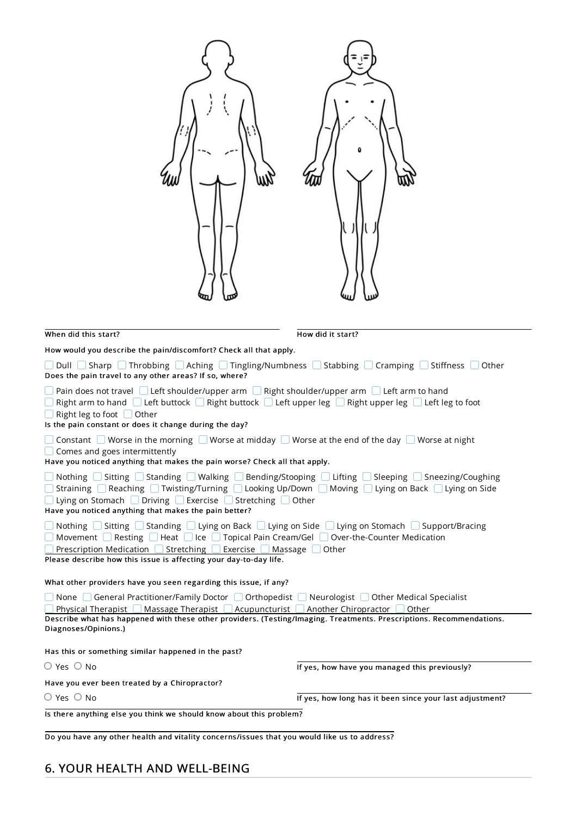| When did this start?                                                                                                                                                                                                                                                                                                                                                                                                 | How did it start?                                        |  |  |  |  |
|----------------------------------------------------------------------------------------------------------------------------------------------------------------------------------------------------------------------------------------------------------------------------------------------------------------------------------------------------------------------------------------------------------------------|----------------------------------------------------------|--|--|--|--|
| How would you describe the pain/discomfort? Check all that apply.                                                                                                                                                                                                                                                                                                                                                    |                                                          |  |  |  |  |
| $\Box$ Dull $\Box$ Sharp $\Box$ Throbbing $\Box$ Aching $\Box$ Tingling/Numbness $\Box$ Stabbing $\Box$ Cramping $\Box$ Stiffness $\Box$ Other<br>Does the pain travel to any other areas? If so, where?                                                                                                                                                                                                             |                                                          |  |  |  |  |
| Pain does not travel Late Left shoulder/upper arm Langler Right shoulder/upper arm Late Left arm to hand<br>Right arm to hand $\Box$ Left buttock $\Box$ Right buttock $\Box$ Left upper leg $\Box$ Right upper leg $\Box$ Left leg to foot<br>Right leg to foot □ Other<br>Is the pain constant or does it change during the day?                                                                                   |                                                          |  |  |  |  |
| Constant $\Box$ Worse in the morning $\Box$ Worse at midday $\Box$ Worse at the end of the day $\Box$ Worse at night<br>Comes and goes intermittently<br>Have you noticed anything that makes the pain worse? Check all that apply.                                                                                                                                                                                  |                                                          |  |  |  |  |
| $\Box$ Nothing $\Box$ Sitting $\Box$ Standing $\Box$ Walking $\Box$ Bending/Stooping $\Box$ Lifting $\Box$ Sleeping $\Box$ Sneezing/Coughing<br>$□$ Straining $□$ Reaching $□$ Twisting/Turning $□$ Looking Up/Down $□$ Moving $□$ Lying on Back $□$ Lying on Side<br>$\Box$ Lying on Stomach $\Box$ Driving $\Box$ Exercise $\Box$ Stretching $\Box$ Other<br>Have you noticed anything that makes the pain better? |                                                          |  |  |  |  |
| $\Box$ Nothing $\Box$ Sitting $\Box$ Standing $\Box$ Lying on Back $\Box$ Lying on Side $\Box$ Lying on Stomach $\Box$ Support/Bracing<br>$\Box$ Movement $\Box$ Resting $\Box$ Heat $\Box$ Ice $\Box$ Topical Pain Cream/Gel $\Box$ Over-the-Counter Medication<br>Prescription Medication □ Stretching □ Exercise □ Massage □ Other<br>Please describe how this issue is affecting your day-to-day life.           |                                                          |  |  |  |  |
| What other providers have you seen regarding this issue, if any?                                                                                                                                                                                                                                                                                                                                                     |                                                          |  |  |  |  |
| None $\Box$ General Practitioner/Family Doctor $\Box$ Orthopedist $\Box$ Neurologist $\Box$ Other Medical Specialist<br>Physical Therapist $\Box$ Massage Therapist $\Box$ Acupuncturist $\Box$ Another Chiropractor $\Box$ Other<br>Describe what has happened with these other providers. (Testing/Imaging. Treatments. Prescriptions. Recommendations.<br>Diagnoses/Opinions.)                                    |                                                          |  |  |  |  |
| Has this or something similar happened in the past?                                                                                                                                                                                                                                                                                                                                                                  |                                                          |  |  |  |  |
| $O$ Yes $O$ No                                                                                                                                                                                                                                                                                                                                                                                                       | If yes, how have you managed this previously?            |  |  |  |  |
| Have you ever been treated by a Chiropractor?                                                                                                                                                                                                                                                                                                                                                                        |                                                          |  |  |  |  |
| $O$ Yes $O$ No                                                                                                                                                                                                                                                                                                                                                                                                       | If yes, how long has it been since your last adjustment? |  |  |  |  |
| Is there anything else you think we should know about this problem?                                                                                                                                                                                                                                                                                                                                                  |                                                          |  |  |  |  |

Do you have any other health and vitality concerns/issues that you would like us to address?

# 6. YOUR HEALTH AND WELL-BEING